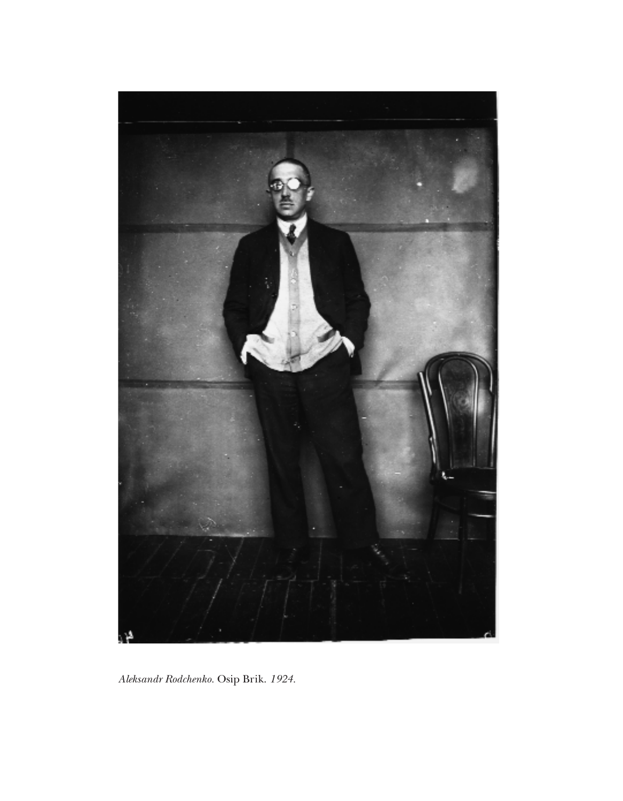

*Aleksandr Rodchenko.* Osip Brik. *1924.*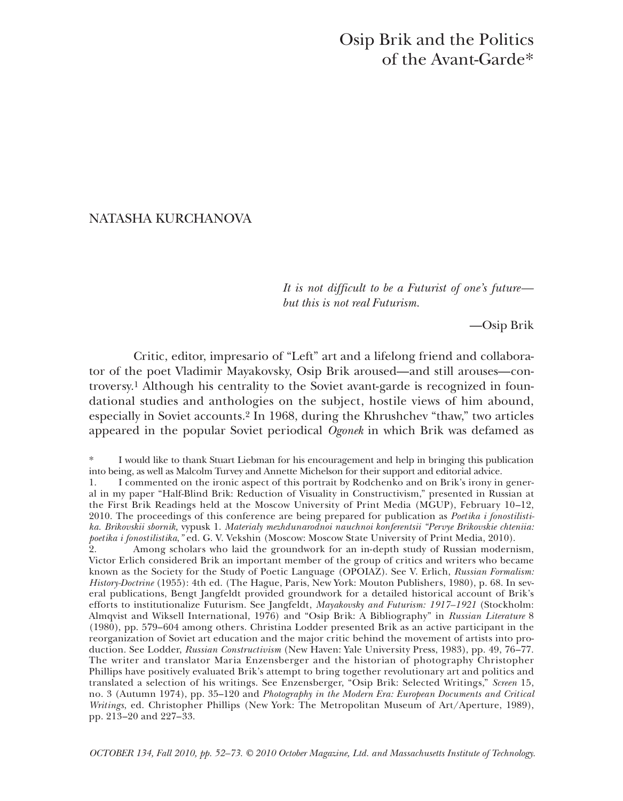# Osip Brik and the Politics of the Avant-Garde\*

# NATASHA KURCHANOVA

*It is not difficult to be a Futurist of one's future but this is not real Futurism.*

—Osip Brik

Critic, editor, impresario of "Left" art and a lifelong friend and collaborator of the poet Vladimir Mayakovsky, Osip Brik aroused—and still arouses—controversy.1 Although his centrality to the Soviet avant-garde is recognized in foundational studies and anthologies on the subject, hostile views of him abound, especially in Soviet accounts.2 In 1968, during the Khrushchev "thaw," two articles appeared in the popular Soviet periodical *Ogonek* in which Brik was defamed as

2. Among scholars who laid the groundwork for an in-depth study of Russian modernism, Victor Erlich considered Brik an important member of the group of critics and writers who became known as the Society for the Study of Poetic Language (OPOIAZ). See V. Erlich, *Russian Formalism: History-Doctrine* (1955): 4th ed. (The Hague, Paris, New York: Mouton Publishers, 1980), p. 68. In several publications, Bengt Jangfeldt provided groundwork for a detailed historical account of Brik's efforts to institutionalize Futurism. See Jangfeldt, *Mayakovsky and Futurism: 1917–1921* (Stockholm: Almqvist and Wiksell International, 1976) and "Osip Brik: A Bibliography" in *Russian Literature* 8 (1980), pp. 579–604 among others. Christina Lodder presented Brik as an active participant in the reorganization of Soviet art education and the major critic behind the movement of artists into production. See Lodder, *Russian Constructivism* (New Haven: Yale University Press, 1983), pp. 49, 76–77. The writer and translator Maria Enzensberger and the historian of photography Christopher Phillips have positively evaluated Brik's attempt to bring together revolutionary art and politics and translated a selection of his writings. See Enzensberger, "Osip Brik: Selected Writings," *Screen* 15, no. 3 (Autumn 1974), pp. 35–120 and *Photography in the Modern Era: European Documents and Critical Writings*, ed. Christopher Phillips (New York: The Metropolitan Museum of Art/Aperture, 1989), pp. 213–20 and 227–33.

*OCTOBER 134, Fall 2010, pp. 52–73. © 2010 October Magazine, Ltd. and Massachusetts Institute of Technology.*

I would like to thank Stuart Liebman for his encouragement and help in bringing this publication into being, as well as Malcolm Turvey and Annette Michelson for their support and editorial advice.

<sup>1.</sup> I commented on the ironic aspect of this portrait by Rodchenko and on Brik's irony in general in my paper "Half-Blind Brik: Reduction of Visuality in Constructivism," presented in Russian at the First Brik Readings held at the Moscow University of Print Media (MGUP), February 10–12, 2010. The proceedings of this conference are being prepared for publication as *Poetika i fonostilistika. Brikovskii sbornik,* vypusk 1. *Materialy mezhdunarodnoi nauchnoi konferentsii "Pervye Brikovskie chteniia: poetika i fonostilistika*,*"* ed. G. V. Vekshin (Moscow: Moscow State University of Print Media, 2010).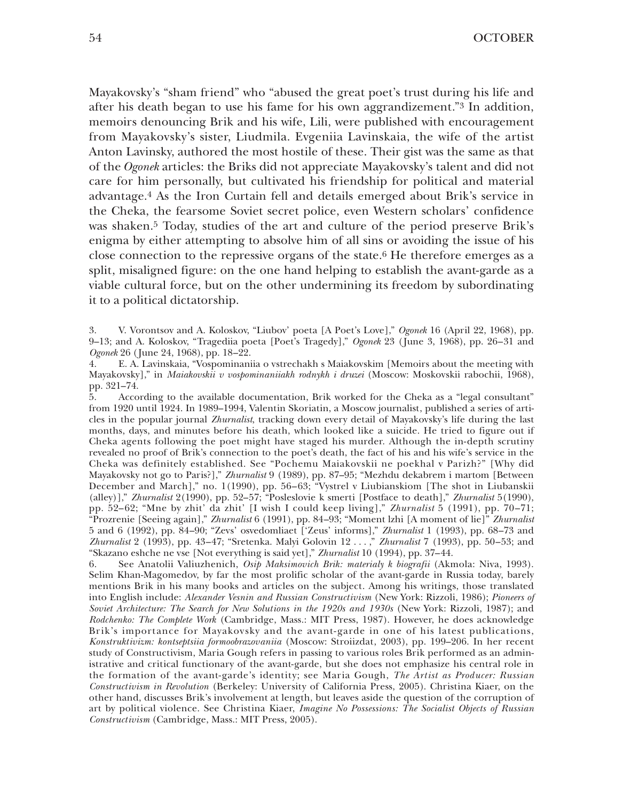Mayakovsky's "sham friend" who "abused the great poet's trust during his life and after his death began to use his fame for his own aggrandizement."3 In addition, memoirs denouncing Brik and his wife, Lili, were published with encouragement from Mayakovsky's sister, Liudmila. Evgeniia Lavinskaia, the wife of the artist Anton Lavinsky, authored the most hostile of these. Their gist was the same as that of the *Ogonek* articles: the Briks did not appreciate Mayakovsky's talent and did not care for him personally, but cultivated his friendship for political and material advantage.4 As the Iron Curtain fell and details emerged about Brik's service in the Cheka, the fearsome Soviet secret police, even Western scholars' confidence was shaken.5 Today, studies of the art and culture of the period preserve Brik's enigma by either attempting to absolve him of all sins or avoiding the issue of his close connection to the repressive organs of the state.<sup>6</sup> He therefore emerges as a split, misaligned figure: on the one hand helping to establish the avant-garde as a viable cultural force, but on the other undermining its freedom by subordinating it to a political dictatorship.

3. V. Vorontsov and A. Koloskov, "Liubov' poeta [A Poet's Love]," *Ogonek* 16 (April 22, 1968), pp. 9–13; and A. Koloskov, "Tragediia poeta [Poet's Tragedy]," *Ogonek* 23 (June 3, 1968), pp. 26–31 and *Ogonek* 26 (June 24, 1968), pp. 18–22.

4. E. A. Lavinskaia, "Vospominaniia o vstrechakh s Maiakovskim [Memoirs about the meeting with Mayakovsky]," in *Maiakovskii v vospominaniiakh rodnykh i druzei* (Moscow: Moskovskii rabochii, 1968), pp. 321–74.

5. According to the available documentation, Brik worked for the Cheka as a "legal consultant" from 1920 until 1924. In 1989–1994, Valentin Skoriatin, a Moscow journalist, published a series of articles in the popular journal *Zhurnalist*, tracking down every detail of Mayakovsky's life during the last months, days, and minutes before his death, which looked like a suicide. He tried to figure out if Cheka agents following the poet might have staged his murder. Although the in-depth scrutiny revealed no proof of Brik's connection to the poet's death, the fact of his and his wife's service in the Cheka was definitely established. See "Pochemu Maiakovskii ne poekhal v Parizh?" [Why did Mayakovsky not go to Paris?]," *Zhurnalist* 9 (1989), pp. 87–95; "Mezhdu dekabrem i martom [Between December and March]," no. 1(1990), pp. 56–63; "Vystrel v Liubianskiom [The shot in Liubanskii (alley)]," *Zhurnalist* 2(1990), pp. 52–57; "Posleslovie k smerti [Postface to death]," *Zhurnalist* 5(1990), pp. 52–62; "Mne by zhit' da zhit' [I wish I could keep living]," *Zhurnalist* 5 (1991), pp. 70–71; "Prozrenie [Seeing again]," *Zhurnalist* 6 (1991), pp. 84–93; "Moment lzhi [A moment of lie]" *Zhurnalist* 5 and 6 (1992), pp. 84–90; "Zevs' osvedomliaet ['Zeus' informs]," *Zhurnalist* 1 (1993), pp. 68–73 and *Zhurnalist* 2 (1993), pp. 43–47; "Sretenka. Malyi Golovin 12 . . . ," *Zhurnalist* 7 (1993), pp. 50–53; and "Skazano eshche ne vse [Not everything is said yet]," *Zhurnalist* 10 (1994), pp. 37–44.

6. See Anatolii Valiuzhenich, *Osip Maksimovich Brik: materialy k biografii* (Akmola: Niva, 1993). Selim Khan-Magomedov, by far the most prolific scholar of the avant-garde in Russia today, barely mentions Brik in his many books and articles on the subject. Among his writings, those translated into English include: *Alexander Vesnin and Russian Constructivism* (New York: Rizzoli, 1986); *Pioneers of Soviet Architecture: The Search for New Solutions in the 1920s and 1930s* (New York: Rizzoli, 1987); and *Rodchenko: The Complete Work* (Cambridge, Mass.: MIT Press, 1987). However, he does acknowledge Brik's importance for Mayakovsky and the avant-garde in one of his latest publications, *Konstruktivizm: kontseptsiia formoobrazovaniia* (Moscow: Stroiizdat, 2003), pp. 199–206. In her recent study of Constructivism, Maria Gough refers in passing to various roles Brik performed as an administrative and critical functionary of the avant-garde, but she does not emphasize his central role in the formation of the avant-garde's identity; see Maria Gough, *The Artist as Producer: Russian Constructivism in Revolution* (Berkeley: University of California Press, 2005). Christina Kiaer, on the other hand, discusses Brik's involvement at length, but leaves aside the question of the corruption of art by political violence. See Christina Kiaer, *Imagine No Possessions: The Socialist Objects of Russian Constructivism* (Cambridge, Mass.: MIT Press, 2005).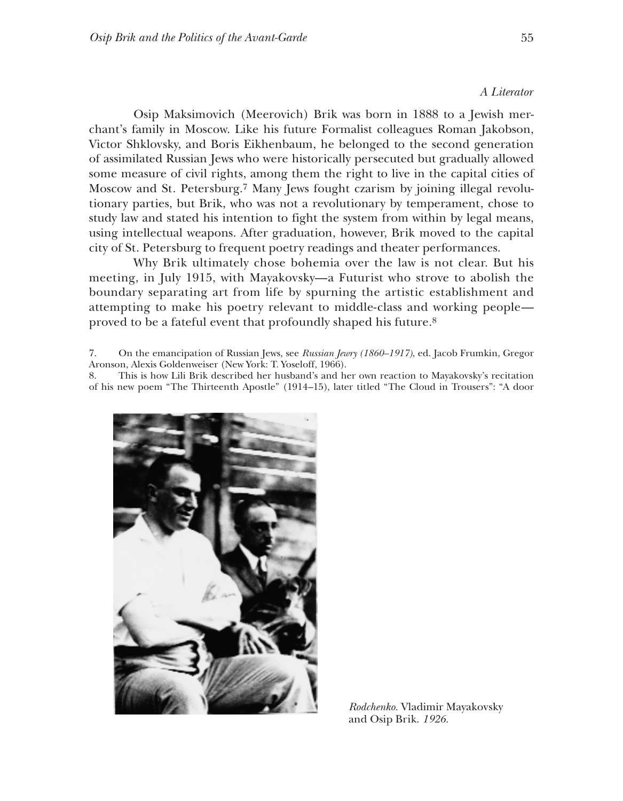#### *A Literator*

Osip Maksimovich (Meerovich) Brik was born in 1888 to a Jewish merchant's family in Moscow. Like his future Formalist colleagues Roman Jakobson, Victor Shklovsky, and Boris Eikhenbaum, he belonged to the second generation of assimilated Russian Jews who were historically persecuted but gradually allowed some measure of civil rights, among them the right to live in the capital cities of Moscow and St. Petersburg.7 Many Jews fought czarism by joining illegal revolutionary parties, but Brik, who was not a revolutionary by temperament, chose to study law and stated his intention to fight the system from within by legal means, using intellectual weapons. After graduation, however, Brik moved to the capital city of St. Petersburg to frequent poetry readings and theater performances.

Why Brik ultimately chose bohemia over the law is not clear. But his meeting, in July 1915, with Mayakovsky—a Futurist who strove to abolish the boundary separating art from life by spurning the artistic establishment and attempting to make his poetry relevant to middle-class and working people proved to be a fateful event that profoundly shaped his future.8

7. On the emancipation of Russian Jews, see *Russian Jewry (1860–1917)*, ed. Jacob Frumkin, Gregor Aronson, Alexis Goldenweiser (New York: T. Yoseloff, 1966).

8. This is how Lili Brik described her husband's and her own reaction to Mayakovsky's recitation of his new poem "The Thirteenth Apostle" (1914–15), later titled "The Cloud in Trousers": "A door



*Rodchenko.* Vladimir Mayakovsky and Osip Brik. *1926.*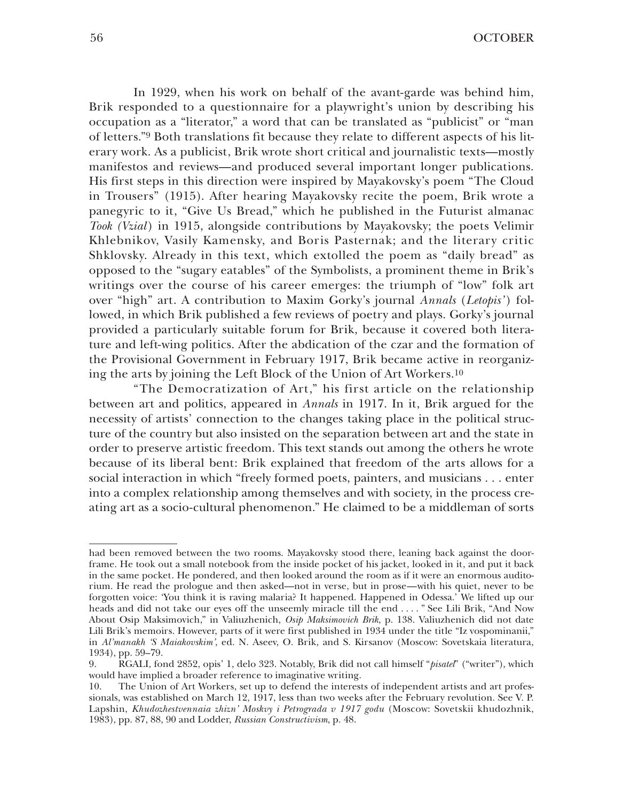In 1929, when his work on behalf of the avant-garde was behind him, Brik responded to a questionnaire for a playwright's union by describing his occupation as a "literator," a word that can be translated as "publicist" or "man of letters."9 Both translations fit because they relate to different aspects of his literary work. As a publicist, Brik wrote short critical and journalistic texts—mostly manifestos and reviews—and produced several important longer publications. His first steps in this direction were inspired by Mayakovsky's poem "The Cloud in Trousers" (1915). After hearing Mayakovsky recite the poem, Brik wrote a panegyric to it, "Give Us Bread," which he published in the Futurist almanac *Took (Vzial* ) in 1915, alongside contributions by Mayakovsky; the poets Velimir Khlebnikov, Vasily Kamensky, and Boris Pasternak; and the literary critic Shklovsky. Already in this text, which extolled the poem as "daily bread" as opposed to the "sugary eatables" of the Symbolists, a prominent theme in Brik's writings over the course of his career emerges: the triumph of "low" folk art over "high" art. A contribution to Maxim Gorky's journal *Annals* (*Letopis'* ) followed, in which Brik published a few reviews of poetry and plays. Gorky's journal provided a particularly suitable forum for Brik, because it covered both literature and left-wing politics. After the abdication of the czar and the formation of the Provisional Government in February 1917, Brik became active in reorganizing the arts by joining the Left Block of the Union of Art Workers.10

"The Democratization of Art," his first article on the relationship between art and politics, appeared in *Annals* in 1917. In it, Brik argued for the necessity of artists' connection to the changes taking place in the political structure of the country but also insisted on the separation between art and the state in order to preserve artistic freedom. This text stands out among the others he wrote because of its liberal bent: Brik explained that freedom of the arts allows for a social interaction in which "freely formed poets, painters, and musicians . . . enter into a complex relationship among themselves and with society, in the process creating art as a socio-cultural phenomenon." He claimed to be a middleman of sorts

had been removed between the two rooms. Mayakovsky stood there, leaning back against the doorframe. He took out a small notebook from the inside pocket of his jacket, looked in it, and put it back in the same pocket. He pondered, and then looked around the room as if it were an enormous auditorium. He read the prologue and then asked—not in verse, but in prose—with his quiet, never to be forgotten voice: 'You think it is raving malaria? It happened. Happened in Odessa.' We lifted up our heads and did not take our eyes off the unseemly miracle till the end . . . . " See Lili Brik, "And Now About Osip Maksimovich," in Valiuzhenich, *Osip Maksimovich Brik*, p. 138. Valiuzhenich did not date Lili Brik's memoirs. However, parts of it were first published in 1934 under the title "Iz vospominanii," in *Al'manakh 'S Maiakovskim'*, ed. N. Aseev, O. Brik, and S. Kirsanov (Moscow: Sovetskaia literatura, 1934), pp. 59–79.

<sup>9.</sup> RGALI, fond 2852, opis' 1, delo 323. Notably, Brik did not call himself "*pisatel*" ("writer"), which would have implied a broader reference to imaginative writing.

<sup>10.</sup> The Union of Art Workers, set up to defend the interests of independent artists and art professionals, was established on March 12, 1917, less than two weeks after the February revolution. See V. P. Lapshin, *Khudozhestvennaia zhizn' Moskvy i Petrograda v 1917 godu* (Moscow: Sovetskii khudozhnik, 1983), pp. 87, 88, 90 and Lodder, *Russian Constructivism*, p. 48.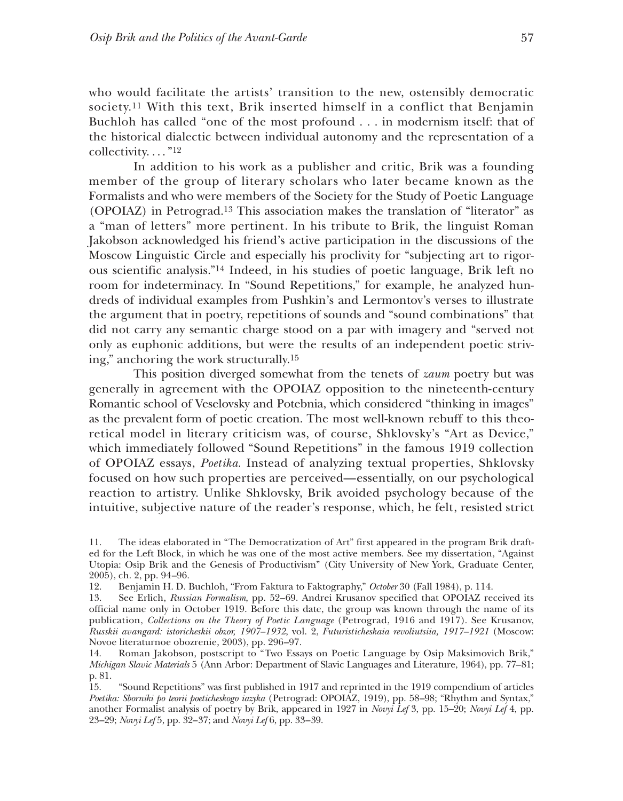who would facilitate the artists' transition to the new, ostensibly democratic society.11 With this text, Brik inserted himself in a conflict that Benjamin Buchloh has called "one of the most profound . . . in modernism itself: that of the historical dialectic between individual autonomy and the representation of a collectivity...." $^{12}$ 

In addition to his work as a publisher and critic, Brik was a founding member of the group of literary scholars who later became known as the Formalists and who were members of the Society for the Study of Poetic Language (OPOIAZ) in Petrograd.13 This association makes the translation of "literator" as a "man of letters" more pertinent. In his tribute to Brik, the linguist Roman Jakobson acknowledged his friend's active participation in the discussions of the Moscow Linguistic Circle and especially his proclivity for "subjecting art to rigorous scientific analysis."14 Indeed, in his studies of poetic language, Brik left no room for indeterminacy. In "Sound Repetitions," for example, he analyzed hundreds of individual examples from Pushkin's and Lermontov's verses to illustrate the argument that in poetry, repetitions of sounds and "sound combinations" that did not carry any semantic charge stood on a par with imagery and "served not only as euphonic additions, but were the results of an independent poetic striving," anchoring the work structurally.15

This position diverged somewhat from the tenets of *zaum* poetry but was generally in agreement with the OPOIAZ opposition to the nineteenth-century Romantic school of Veselovsky and Potebnia, which considered "thinking in images" as the prevalent form of poetic creation. The most well-known rebuff to this theoretical model in literary criticism was, of course, Shklovsky's "Art as Device," which immediately followed "Sound Repetitions" in the famous 1919 collection of OPOIAZ essays, *Poetika*. Instead of analyzing textual properties, Shklovsky focused on how such properties are perceived—essentially, on our psychological reaction to artistry. Unlike Shklovsky, Brik avoided psychology because of the intuitive, subjective nature of the reader's response, which, he felt, resisted strict

<sup>11.</sup> The ideas elaborated in "The Democratization of Art" first appeared in the program Brik drafted for the Left Block, in which he was one of the most active members. See my dissertation, "Against Utopia: Osip Brik and the Genesis of Productivism" (City University of New York, Graduate Center, 2005), ch. 2, pp. 94–96.

<sup>12.</sup> Benjamin H. D. Buchloh, "From Faktura to Faktography," *October* 30 (Fall 1984), p. 114.

<sup>13.</sup> See Erlich, *Russian Formalism*, pp. 52–69. Andrei Krusanov specified that OPOIAZ received its official name only in October 1919. Before this date, the group was known through the name of its publication, *Collections on the Theory of Poetic Language* (Petrograd, 1916 and 1917). See Krusanov, *Russkii avangard: istoricheskii obzor, 1907–1932*, vol. 2, *Futuristicheskaia revoliutsiia, 1917–1921* (Moscow: Novoe literaturnoe obozrenie, 2003), pp. 296–97.

<sup>14.</sup> Roman Jakobson, postscript to "Two Essays on Poetic Language by Osip Maksimovich Brik," *Michigan Slavic Materials* 5 (Ann Arbor: Department of Slavic Languages and Literature, 1964), pp. 77–81; p. 81.

<sup>15.</sup> "Sound Repetitions" was first published in 1917 and reprinted in the 1919 compendium of articles *Poetika: Sborniki po teorii poeticheskogo iazyka* (Petrograd: OPOIAZ, 1919), pp. 58–98; "Rhythm and Syntax," another Formalist analysis of poetry by Brik, appeared in 1927 in *Novyi Lef* 3, pp. 15–20; *Novyi Lef* 4, pp. 23–29; *Novyi Lef* 5, pp. 32–37; and *Novyi Lef* 6, pp. 33–39.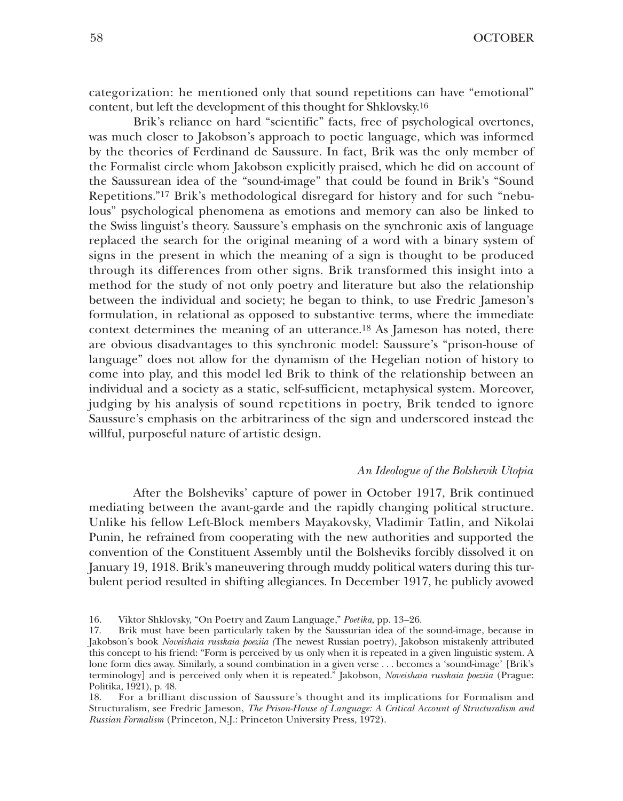categorization: he mentioned only that sound repetitions can have "emotional" content, but left the development of this thought for Shklovsky.16

Brik's reliance on hard "scientific" facts, free of psychological overtones, was much closer to Jakobson's approach to poetic language, which was informed by the theories of Ferdinand de Saussure. In fact, Brik was the only member of the Formalist circle whom Jakobson explicitly praised, which he did on account of the Saussurean idea of the "sound-image" that could be found in Brik's "Sound Repetitions."17 Brik's methodological disregard for history and for such "nebulous" psychological phenomena as emotions and memory can also be linked to the Swiss linguist's theory. Saussure's emphasis on the synchronic axis of language replaced the search for the original meaning of a word with a binary system of signs in the present in which the meaning of a sign is thought to be produced through its differences from other signs. Brik transformed this insight into a method for the study of not only poetry and literature but also the relationship between the individual and society; he began to think, to use Fredric Jameson's formulation, in relational as opposed to substantive terms, where the immediate context determines the meaning of an utterance.18 As Jameson has noted, there are obvious disadvantages to this synchronic model: Saussure's "prison-house of language" does not allow for the dynamism of the Hegelian notion of history to come into play, and this model led Brik to think of the relationship between an individual and a society as a static, self-sufficient, metaphysical system. Moreover, judging by his analysis of sound repetitions in poetry, Brik tended to ignore Saussure's emphasis on the arbitrariness of the sign and underscored instead the willful, purposeful nature of artistic design.

### *An Ideologue of the Bolshevik Utopia*

After the Bolsheviks' capture of power in October 1917, Brik continued mediating between the avant-garde and the rapidly changing political structure. Unlike his fellow Left-Block members Mayakovsky, Vladimir Tatlin, and Nikolai Punin, he refrained from cooperating with the new authorities and supported the convention of the Constituent Assembly until the Bolsheviks forcibly dissolved it on January 19, 1918. Brik's maneuvering through muddy political waters during this turbulent period resulted in shifting allegiances. In December 1917, he publicly avowed

<sup>16.</sup> Viktor Shklovsky, "On Poetry and Zaum Language," *Poetika*, pp. 13–26.

<sup>17.</sup> Brik must have been particularly taken by the Saussurian idea of the sound-image, because in Jakobson's book *Noveishaia russkaia poeziia (*The newest Russian poetry), Jakobson mistakenly attributed this concept to his friend: "Form is perceived by us only when it is repeated in a given linguistic system. A lone form dies away. Similarly, a sound combination in a given verse . . . becomes a 'sound-image' [Brik's terminology] and is perceived only when it is repeated." Jakobson, *Noveishaia russkaia poeziia* (Prague: Politika, 1921), p. 48.

<sup>18.</sup> For a brilliant discussion of Saussure's thought and its implications for Formalism and Structuralism, see Fredric Jameson, *The Prison-House of Language: A Critical Account of Structuralism and Russian Formalism* (Princeton, N.J.: Princeton University Press, 1972).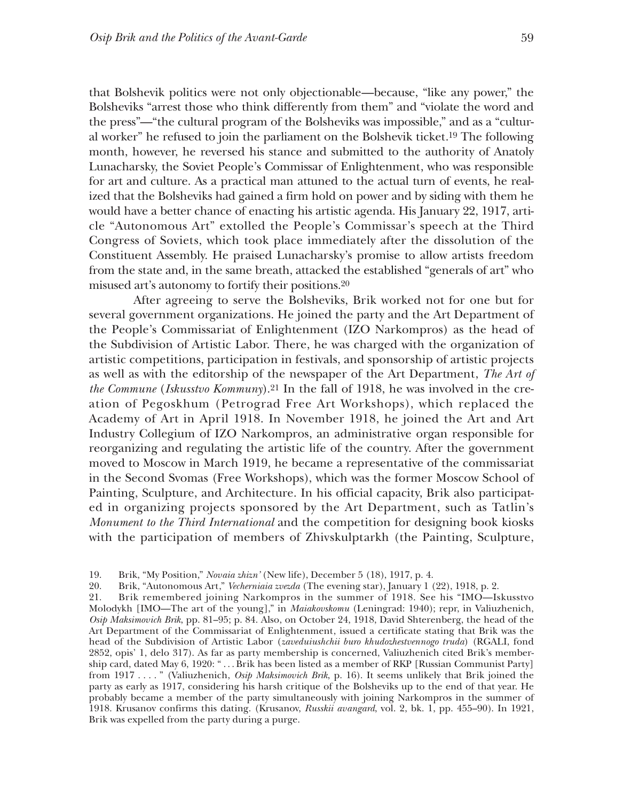that Bolshevik politics were not only objectionable—because, "like any power," the Bolsheviks "arrest those who think differently from them" and "violate the word and the press"—"the cultural program of the Bolsheviks was impossible," and as a "cultural worker" he refused to join the parliament on the Bolshevik ticket.19 The following month, however, he reversed his stance and submitted to the authority of Anatoly Lunacharsky, the Soviet People's Commissar of Enlightenment, who was responsible for art and culture. As a practical man attuned to the actual turn of events, he realized that the Bolsheviks had gained a firm hold on power and by siding with them he would have a better chance of enacting his artistic agenda. His January 22, 1917, article "Autonomous Art" extolled the People's Commissar's speech at the Third Congress of Soviets, which took place immediately after the dissolution of the Constituent Assembly. He praised Lunacharsky's promise to allow artists freedom from the state and, in the same breath, attacked the established "generals of art" who misused art's autonomy to fortify their positions.20

After agreeing to serve the Bolsheviks, Brik worked not for one but for several government organizations. He joined the party and the Art Department of the People's Commissariat of Enlightenment (IZO Narkompros) as the head of the Subdivision of Artistic Labor. There, he was charged with the organization of artistic competitions, participation in festivals, and sponsorship of artistic projects as well as with the editorship of the newspaper of the Art Department, *The Art of the Commune* (*Iskusstvo Kommuny*).21 In the fall of 1918, he was involved in the creation of Pegoskhum (Petrograd Free Art Workshops), which replaced the Academy of Art in April 1918. In November 1918, he joined the Art and Art Industry Collegium of IZO Narkompros, an administrative organ responsible for reorganizing and regulating the artistic life of the country. After the government moved to Moscow in March 1919, he became a representative of the commissariat in the Second Svomas (Free Workshops), which was the former Moscow School of Painting, Sculpture, and Architecture. In his official capacity, Brik also participated in organizing projects sponsored by the Art Department, such as Tatlin's *Monument to the Third International* and the competition for designing book kiosks with the participation of members of Zhivskulptarkh (the Painting, Sculpture,

21. Brik remembered joining Narkompros in the summer of 1918. See his "IMO—Iskusstvo Molodykh [IMO—The art of the young]," in *Maiakovskomu* (Leningrad: 1940); repr, in Valiuzhenich, *Osip Maksimovich Brik*, pp. 81–95; p. 84. Also, on October 24, 1918, David Shterenberg, the head of the Art Department of the Commissariat of Enlightenment, issued a certificate stating that Brik was the head of the Subdivision of Artistic Labor (*zaveduiushchii buro khudozhestvennogo truda*) (RGALI, fond 2852, opis' 1, delo 317). As far as party membership is concerned, Valiuzhenich cited Brik's membership card, dated May 6, 1920: " . . . Brik has been listed as a member of RKP [Russian Communist Party] from 1917 . . . . " (Valiuzhenich, *Osip Maksimovich Brik*, p. 16). It seems unlikely that Brik joined the party as early as 1917, considering his harsh critique of the Bolsheviks up to the end of that year. He probably became a member of the party simultaneously with joining Narkompros in the summer of 1918. Krusanov confirms this dating. (Krusanov, *Russkii avangard*, vol. 2, bk. 1, pp. 455–90). In 1921, Brik was expelled from the party during a purge.

<sup>19.</sup> Brik, "My Position," *Novaia zhizn'* (New life), December 5 (18), 1917, p. 4.

<sup>20.</sup> Brik, "Autonomous Art," *Vecherniaia zvezda* (The evening star), January 1 (22), 1918, p. 2.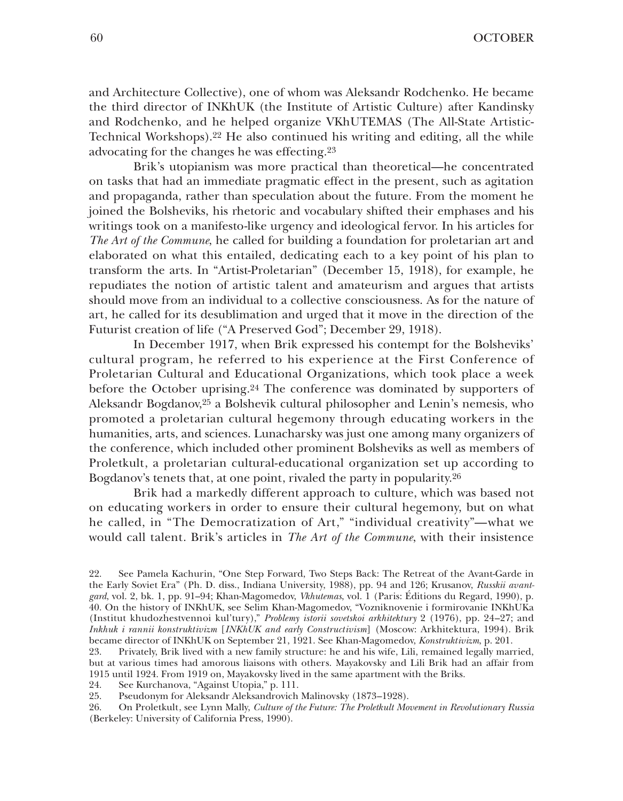and Architecture Collective), one of whom was Aleksandr Rodchenko. He became the third director of INKhUK (the Institute of Artistic Culture) after Kandinsky and Rodchenko, and he helped organize VKhUTEMAS (The All-State Artistic-Technical Workshops).22 He also continued his writing and editing, all the while advocating for the changes he was effecting.23

Brik's utopianism was more practical than theoretical—he concentrated on tasks that had an immediate pragmatic effect in the present, such as agitation and propaganda, rather than speculation about the future. From the moment he joined the Bolsheviks, his rhetoric and vocabulary shifted their emphases and his writings took on a manifesto-like urgency and ideological fervor. In his articles for *The Art of the Commune*, he called for building a foundation for proletarian art and elaborated on what this entailed, dedicating each to a key point of his plan to transform the arts. In "Artist-Proletarian" (December 15, 1918), for example, he repudiates the notion of artistic talent and amateurism and argues that artists should move from an individual to a collective consciousness. As for the nature of art, he called for its desublimation and urged that it move in the direction of the Futurist creation of life ("A Preserved God"; December 29, 1918).

In December 1917, when Brik expressed his contempt for the Bolsheviks' cultural program, he referred to his experience at the First Conference of Proletarian Cultural and Educational Organizations, which took place a week before the October uprising.24 The conference was dominated by supporters of Aleksandr Bogdanov,25 a Bolshevik cultural philosopher and Lenin's nemesis, who promoted a proletarian cultural hegemony through educating workers in the humanities, arts, and sciences. Lunacharsky was just one among many organizers of the conference, which included other prominent Bolsheviks as well as members of Proletkult, a proletarian cultural-educational organization set up according to Bogdanov's tenets that, at one point, rivaled the party in popularity.26

Brik had a markedly different approach to culture, which was based not on educating workers in order to ensure their cultural hegemony, but on what he called, in "The Democratization of Art," "individual creativity"—what we would call talent. Brik's articles in *The Art of the Commune*, with their insistence

<sup>22.</sup> See Pamela Kachurin, "One Step Forward, Two Steps Back: The Retreat of the Avant-Garde in the Early Soviet Era" (Ph. D. diss., Indiana University, 1988), pp. 94 and 126; Krusanov, *Russkii avantgard*, vol. 2, bk. 1, pp. 91–94; Khan-Magomedov, *Vkhutemas*, vol. 1 (Paris: Éditions du Regard, 1990), p. 40. On the history of INKhUK, see Selim Khan-Magomedov, "Vozniknovenie i formirovanie INKhUKa (Institut khudozhestvennoi kul'tury)," *Problemy istorii sovetskoi arkhitektury* 2 (1976), pp. 24–27; and *Inkhuk i rannii konstruktivizm* [*INKhUK and early Constructivism*] (Moscow: Arkhitektura, 1994). Brik became director of INKhUK on September 21, 1921. See Khan-Magomedov, *Konstruktivizm*, p. 201.

<sup>23.</sup> Privately, Brik lived with a new family structure: he and his wife, Lili, remained legally married, but at various times had amorous liaisons with others. Mayakovsky and Lili Brik had an affair from 1915 until 1924. From 1919 on, Mayakovsky lived in the same apartment with the Briks.<br>24. See Kurchanova. "Against Utopia." p. 111.

<sup>24.</sup> See Kurchanova, "Against Utopia," p. 111.

<sup>25.</sup> Pseudonym for Aleksandr Aleksandrovich Malinovsky (1873–1928).<br>26. On Proletkult, see Lynn Mally, *Culture of the Future: The Proletkult Mo* 

<sup>26.</sup> On Proletkult, see Lynn Mally, *Culture of the Future: The Proletkult Movement in Revolutionary Russia* (Berkeley: University of California Press, 1990).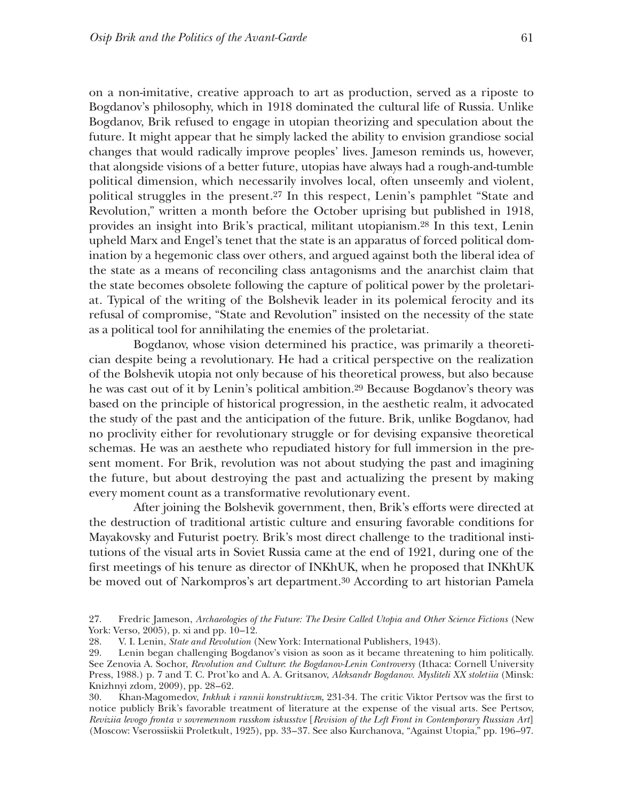on a non-imitative, creative approach to art as production, served as a riposte to Bogdanov's philosophy, which in 1918 dominated the cultural life of Russia. Unlike Bogdanov, Brik refused to engage in utopian theorizing and speculation about the future. It might appear that he simply lacked the ability to envision grandiose social changes that would radically improve peoples' lives. Jameson reminds us, however, that alongside visions of a better future, utopias have always had a rough-and-tumble political dimension, which necessarily involves local, often unseemly and violent, political struggles in the present.27 In this respect, Lenin's pamphlet "State and Revolution," written a month before the October uprising but published in 1918, provides an insight into Brik's practical, militant utopianism.28 In this text, Lenin upheld Marx and Engel's tenet that the state is an apparatus of forced political domination by a hegemonic class over others, and argued against both the liberal idea of the state as a means of reconciling class antagonisms and the anarchist claim that the state becomes obsolete following the capture of political power by the proletariat. Typical of the writing of the Bolshevik leader in its polemical ferocity and its refusal of compromise, "State and Revolution" insisted on the necessity of the state as a political tool for annihilating the enemies of the proletariat.

Bogdanov, whose vision determined his practice, was primarily a theoretician despite being a revolutionary. He had a critical perspective on the realization of the Bolshevik utopia not only because of his theoretical prowess, but also because he was cast out of it by Lenin's political ambition.29 Because Bogdanov's theory was based on the principle of historical progression, in the aesthetic realm, it advocated the study of the past and the anticipation of the future. Brik, unlike Bogdanov, had no proclivity either for revolutionary struggle or for devising expansive theoretical schemas. He was an aesthete who repudiated history for full immersion in the present moment. For Brik, revolution was not about studying the past and imagining the future, but about destroying the past and actualizing the present by making every moment count as a transformative revolutionary event.

After joining the Bolshevik government, then, Brik's efforts were directed at the destruction of traditional artistic culture and ensuring favorable conditions for Mayakovsky and Futurist poetry. Brik's most direct challenge to the traditional institutions of the visual arts in Soviet Russia came at the end of 1921, during one of the first meetings of his tenure as director of INKhUK, when he proposed that INKhUK be moved out of Narkompros's art department.30 According to art historian Pamela

30. Khan-Magomedov, *Inkhuk i rannii konstruktivzm*, 231-34. The critic Viktor Pertsov was the first to notice publicly Brik's favorable treatment of literature at the expense of the visual arts. See Pertsov, *Reviziia levogo fronta v sovremennom russkom iskusstve* [*Revision of the Left Front in Contemporary Russian Art*] (Moscow: Vserossiiskii Proletkult, 1925), pp. 33–37. See also Kurchanova, "Against Utopia," pp. 196–97.

<sup>27.</sup> Fredric Jameson, *Archaeologies of the Future: The Desire Called Utopia and Other Science Fictions* (New York: Verso, 2005), p. xi and pp.  $10-12$ .<br>28. V. I. Lenin. *State and Revolution* (

<sup>28.</sup> V. I. Lenin, *State and Revolution* (New York: International Publishers, 1943).

<sup>29.</sup> Lenin began challenging Bogdanov's vision as soon as it became threatening to him politically. See Zenovia A. Sochor, *Revolution and Culture*: *the Bogdanov-Lenin Controversy* (Ithaca: Cornell University Press, 1988.) p. 7 and T. C. Prot'ko and A. A. Gritsanov, *Aleksandr Bogdanov. Mysliteli XX stoletiia* (Minsk: Knizhnyi zdom, 2009), pp. 28–62.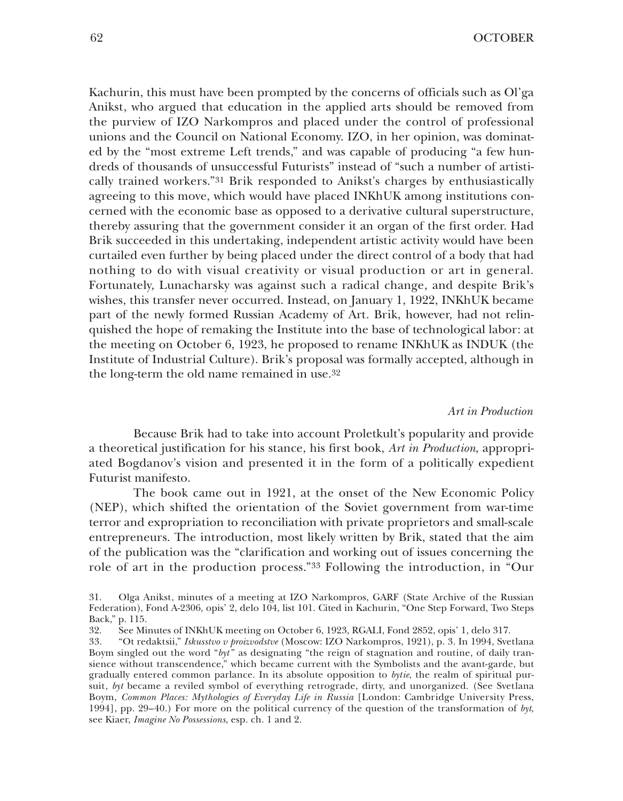Kachurin, this must have been prompted by the concerns of officials such as Ol'ga Anikst, who argued that education in the applied arts should be removed from the purview of IZO Narkompros and placed under the control of professional unions and the Council on National Economy. IZO, in her opinion, was dominated by the "most extreme Left trends," and was capable of producing "a few hundreds of thousands of unsuccessful Futurists" instead of "such a number of artistically trained workers."31 Brik responded to Anikst's charges by enthusiastically agreeing to this move, which would have placed INKhUK among institutions concerned with the economic base as opposed to a derivative cultural superstructure, thereby assuring that the government consider it an organ of the first order. Had Brik succeeded in this undertaking, independent artistic activity would have been curtailed even further by being placed under the direct control of a body that had nothing to do with visual creativity or visual production or art in general. Fortunately, Lunacharsky was against such a radical change, and despite Brik's wishes, this transfer never occurred. Instead, on January 1, 1922, INKhUK became part of the newly formed Russian Academy of Art. Brik, however, had not relinquished the hope of remaking the Institute into the base of technological labor: at the meeting on October 6, 1923, he proposed to rename INKhUK as INDUK (the Institute of Industrial Culture). Brik's proposal was formally accepted, although in the long-term the old name remained in use.32

#### *Art in Production*

Because Brik had to take into account Proletkult's popularity and provide a theoretical justification for his stance, his first book, *Art in Production*, appropriated Bogdanov's vision and presented it in the form of a politically expedient Futurist manifesto.

The book came out in 1921, at the onset of the New Economic Policy (NEP), which shifted the orientation of the Soviet government from war-time terror and expropriation to reconciliation with private proprietors and small-scale entrepreneurs. The introduction, most likely written by Brik, stated that the aim of the publication was the "clarification and working out of issues concerning the role of art in the production process."33 Following the introduction, in "Our

<sup>31.</sup> Olga Anikst, minutes of a meeting at IZO Narkompros, GARF (State Archive of the Russian Federation), Fond A-2306, opis' 2, delo 104, list 101. Cited in Kachurin, "One Step Forward, Two Steps Back," p. 115.

<sup>32.</sup> See Minutes of INKhUK meeting on October 6, 1923, RGALI, Fond 2852, opis' 1, delo 317.

<sup>33.</sup> "Ot redaktsii," *Iskusstvo v proizvodstve* (Moscow: IZO Narkompros, 1921), p. 3. In 1994, Svetlana Boym singled out the word "byt" as designating "the reign of stagnation and routine, of daily transience without transcendence," which became current with the Symbolists and the avant-garde, but gradually entered common parlance. In its absolute opposition to *bytie*, the realm of spiritual pursuit, *byt* became a reviled symbol of everything retrograde, dirty, and unorganized. (See Svetlana Boym, *Common Places: Mythologies of Everyday Life in Russia* [London: Cambridge University Press, 1994], pp. 29–40.) For more on the political currency of the question of the transformation of *byt*, see Kiaer, *Imagine No Possessions*, esp. ch. 1 and 2.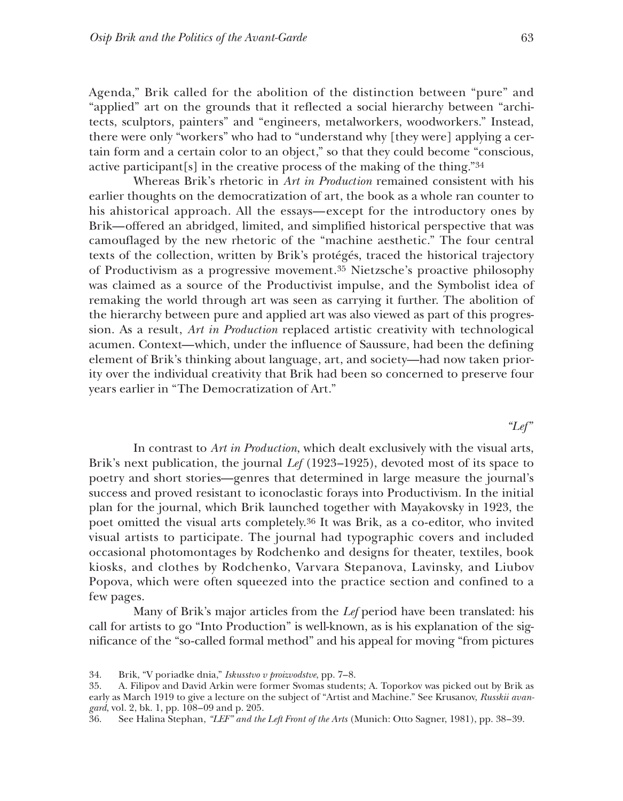Agenda," Brik called for the abolition of the distinction between "pure" and "applied" art on the grounds that it reflected a social hierarchy between "architects, sculptors, painters" and "engineers, metalworkers, woodworkers." Instead, there were only "workers" who had to "understand why [they were] applying a certain form and a certain color to an object," so that they could become "conscious, active participant[s] in the creative process of the making of the thing."34

Whereas Brik's rhetoric in *Art in Production* remained consistent with his earlier thoughts on the democratization of art, the book as a whole ran counter to his ahistorical approach. All the essays—except for the introductory ones by Brik—offered an abridged, limited, and simplified historical perspective that was camouflaged by the new rhetoric of the "machine aesthetic." The four central texts of the collection, written by Brik's protégés, traced the historical trajectory of Productivism as a progressive movement.35 Nietzsche's proactive philosophy was claimed as a source of the Productivist impulse, and the Symbolist idea of remaking the world through art was seen as carrying it further. The abolition of the hierarchy between pure and applied art was also viewed as part of this progression. As a result, *Art in Production* replaced artistic creativity with technological acumen. Context—which, under the influence of Saussure, had been the defining element of Brik's thinking about language, art, and society—had now taken priority over the individual creativity that Brik had been so concerned to preserve four years earlier in "The Democratization of Art."

## *"Lef"*

In contrast to *Art in Production*, which dealt exclusively with the visual arts, Brik's next publication, the journal *Lef* (1923–1925), devoted most of its space to poetry and short stories—genres that determined in large measure the journal's success and proved resistant to iconoclastic forays into Productivism. In the initial plan for the journal, which Brik launched together with Mayakovsky in 1923, the poet omitted the visual arts completely.36 It was Brik, as a co-editor, who invited visual artists to participate. The journal had typographic covers and included occasional photomontages by Rodchenko and designs for theater, textiles, book kiosks, and clothes by Rodchenko, Varvara Stepanova, Lavinsky, and Liubov Popova, which were often squeezed into the practice section and confined to a few pages.

Many of Brik's major articles from the *Lef* period have been translated: his call for artists to go "Into Production" is well-known, as is his explanation of the significance of the "so-called formal method" and his appeal for moving "from pictures

<sup>34.</sup> Brik, "V poriadke dnia," *Iskusstvo v proizvodstve*, pp. 7–8.

<sup>35.</sup> A. Filipov and David Arkin were former Svomas students; A. Toporkov was picked out by Brik as early as March 1919 to give a lecture on the subject of "Artist and Machine." See Krusanov, *Russkii avangard*, vol. 2, bk. 1, pp. 108–09 and p. 205.

<sup>36.</sup> See Halina Stephan, *"LEF" and the Left Front of the Arts* (Munich: Otto Sagner, 1981), pp. 38–39.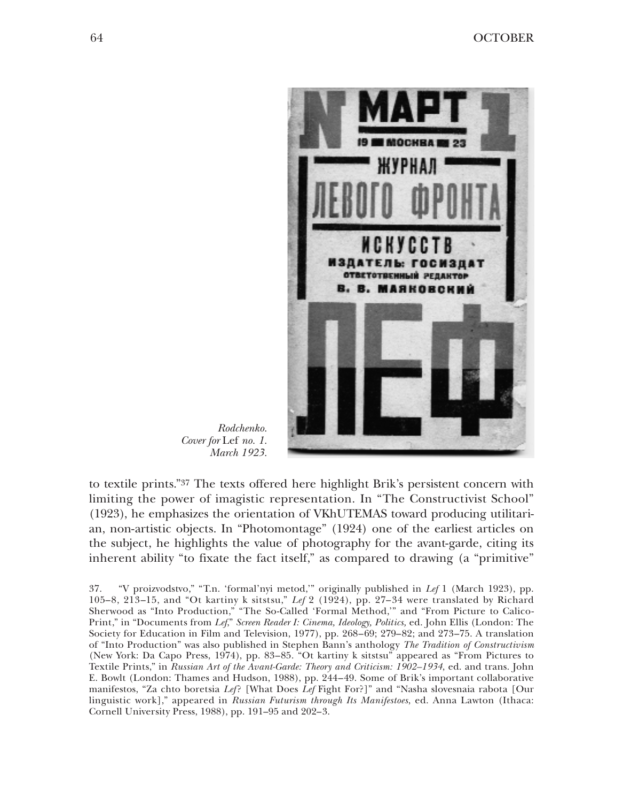

*Rodchenko. Cover for* Lef *no. 1. March 1923.*

to textile prints."37 The texts offered here highlight Brik's persistent concern with limiting the power of imagistic representation. In "The Constructivist School" (1923), he emphasizes the orientation of VKhUTEMAS toward producing utilitarian, non-artistic objects. In "Photomontage" (1924) one of the earliest articles on the subject, he highlights the value of photography for the avant-garde, citing its inherent ability "to fixate the fact itself," as compared to drawing (a "primitive"

37. "V proizvodstvo," "T.n. 'formal'nyi metod,'" originally published in *Lef* 1 (March 1923), pp. 105–8, 213–15, and "Ot kartiny k sitstsu," *Lef* 2 (1924), pp. 27–34 were translated by Richard Sherwood as "Into Production," "The So-Called 'Formal Method,'" and "From Picture to Calico-Print," in "Documents from *Lef*," *Screen Reader I: Cinema, Ideology, Politics,* ed. John Ellis (London: The Society for Education in Film and Television, 1977), pp. 268–69; 279–82; and 273–75. A translation of "Into Production" was also published in Stephen Bann's anthology *The Tradition of Constructivism* (New York: Da Capo Press, 1974), pp. 83–85. "Ot kartiny k sitstsu" appeared as "From Pictures to Textile Prints," in *Russian Art of the Avant-Garde: Theory and Criticism: 1902–1934*, ed. and trans. John E. Bowlt (London: Thames and Hudson, 1988), pp. 244–49. Some of Brik's important collaborative manifestos, "Za chto boretsia *Lef*? [What Does *Lef* Fight For?]" and "Nasha slovesnaia rabota [Our linguistic work]," appeared in *Russian Futurism through Its Manifestoes*, ed. Anna Lawton (Ithaca: Cornell University Press, 1988), pp. 191–95 and 202–3.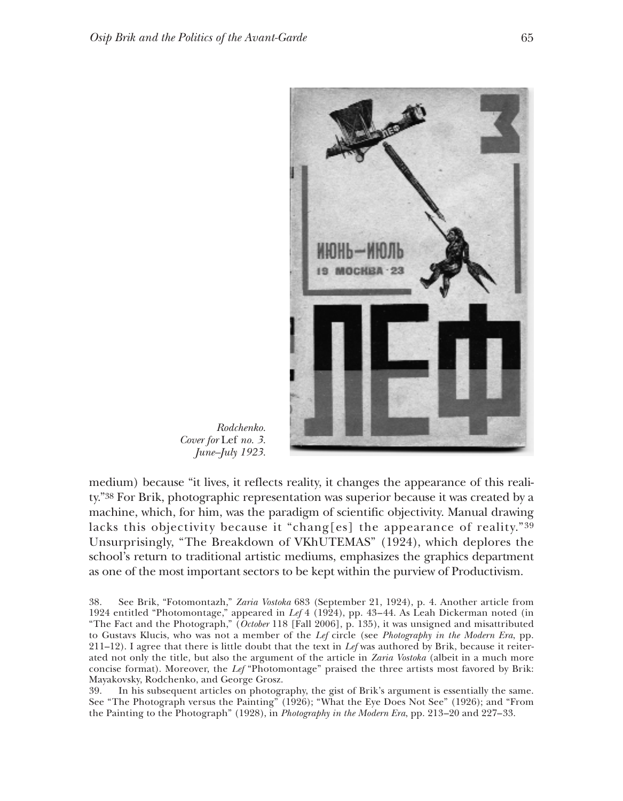

*Rodchenko. Cover for* Lef *no. 3. June–July 1923.*

medium) because "it lives, it reflects reality, it changes the appearance of this reality."38 For Brik, photographic representation was superior because it was created by a machine, which, for him, was the paradigm of scientific objectivity. Manual drawing lacks this objectivity because it "chang[es] the appearance of reality." $39$ Unsurprisingly, "The Breakdown of VKhUTEMAS" (1924), which deplores the school's return to traditional artistic mediums, emphasizes the graphics department as one of the most important sectors to be kept within the purview of Productivism.

38. See Brik, "Fotomontazh," *Zaria Vostoka* 683 (September 21, 1924), p. 4. Another article from 1924 entitled "Photomontage," appeared in *Lef* 4 (1924), pp. 43–44. As Leah Dickerman noted (in "The Fact and the Photograph," (*October* 118 [Fall 2006], p. 135), it was unsigned and misattributed to Gustavs Klucis, who was not a member of the *Lef* circle (see *Photography in the Modern Era*, pp. 211–12). I agree that there is little doubt that the text in *Lef* was authored by Brik, because it reiterated not only the title, but also the argument of the article in *Zaria Vostoka* (albeit in a much more concise format). Moreover, the *Lef* "Photomontage" praised the three artists most favored by Brik: Mayakovsky, Rodchenko, and George Grosz.

39. In his subsequent articles on photography, the gist of Brik's argument is essentially the same. See "The Photograph versus the Painting" (1926); "What the Eye Does Not See" (1926); and "From the Painting to the Photograph" (1928), in *Photography in the Modern Era*, pp. 213–20 and 227–33.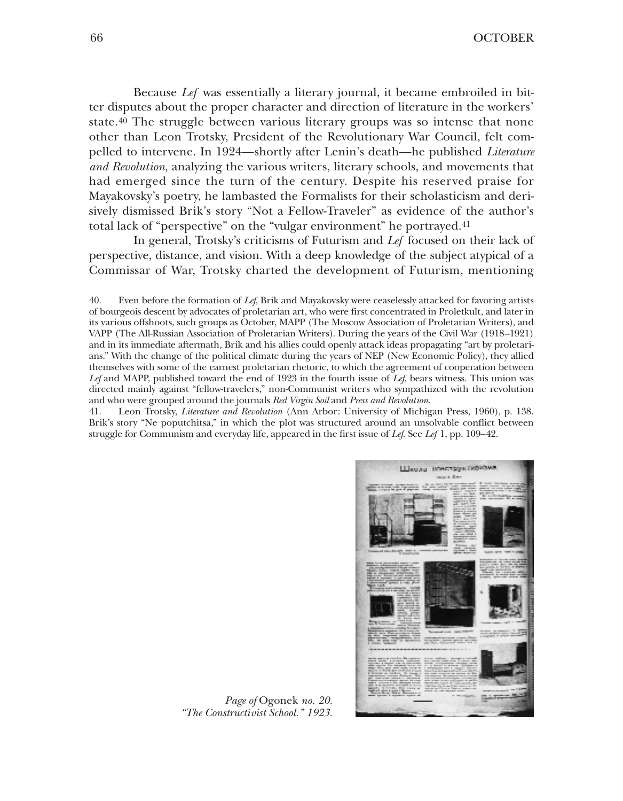Because *Lef* was essentially a literary journal, it became embroiled in bitter disputes about the proper character and direction of literature in the workers' state.<sup>40</sup> The struggle between various literary groups was so intense that none other than Leon Trotsky, President of the Revolutionary War Council, felt compelled to intervene. In 1924—shortly after Lenin's death—he published *Literature and Revolution*, analyzing the various writers, literary schools, and movements that had emerged since the turn of the century. Despite his reserved praise for Mayakovsky's poetry, he lambasted the Formalists for their scholasticism and derisively dismissed Brik's story "Not a Fellow-Traveler" as evidence of the author's total lack of "perspective" on the "vulgar environment" he portrayed.41

In general, Trotsky's criticisms of Futurism and *Lef* focused on their lack of perspective, distance, and vision. With a deep knowledge of the subject atypical of a Commissar of War, Trotsky charted the development of Futurism, mentioning

40. Even before the formation of *Lef*, Brik and Mayakovsky were ceaselessly attacked for favoring artists of bourgeois descent by advocates of proletarian art, who were first concentrated in Proletkult, and later in its various offshoots, such groups as October, MAPP (The Moscow Association of Proletarian Writers), and VAPP (The All-Russian Association of Proletarian Writers). During the years of the Civil War (1918–1921) and in its immediate aftermath, Brik and his allies could openly attack ideas propagating "art by proletarians." With the change of the political climate during the years of NEP (New Economic Policy), they allied themselves with some of the earnest proletarian rhetoric, to which the agreement of cooperation between *Lef* and MAPP, published toward the end of 1923 in the fourth issue of *Lef*, bears witness. This union was directed mainly against "fellow-travelers," non-Communist writers who sympathized with the revolution and who were grouped around the journals *Red Virgin Soil* and *Press and Revolution*.

41. Leon Trotsky, *Literature and Revolution* (Ann Arbor: University of Michigan Press, 1960), p. 138. Brik's story "Ne poputchitsa," in which the plot was structured around an unsolvable conflict between struggle for Communism and everyday life, appeared in the first issue of *Lef*. See *Lef* 1, pp. 109–42.



*Page of* Ogonek *no. 20. "The Constructivist School." 1923.*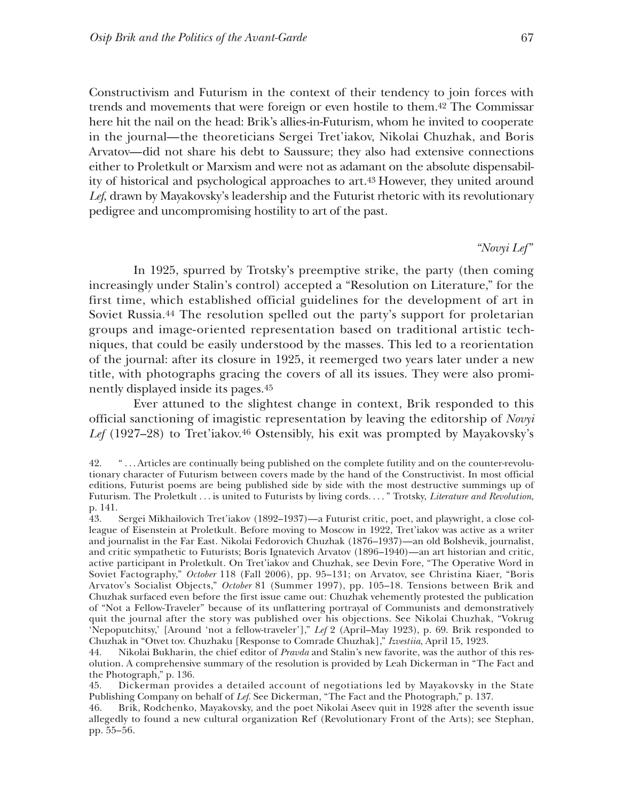Constructivism and Futurism in the context of their tendency to join forces with trends and movements that were foreign or even hostile to them.42 The Commissar here hit the nail on the head: Brik's allies-in-Futurism, whom he invited to cooperate in the journal—the theoreticians Sergei Tret'iakov, Nikolai Chuzhak, and Boris Arvatov—did not share his debt to Saussure; they also had extensive connections either to Proletkult or Marxism and were not as adamant on the absolute dispensability of historical and psychological approaches to art.43 However, they united around *Lef*, drawn by Mayakovsky's leadership and the Futurist rhetoric with its revolutionary pedigree and uncompromising hostility to art of the past.

*"Novyi Lef"*

In 1925, spurred by Trotsky's preemptive strike, the party (then coming increasingly under Stalin's control) accepted a "Resolution on Literature," for the first time, which established official guidelines for the development of art in Soviet Russia.44 The resolution spelled out the party's support for proletarian groups and image-oriented representation based on traditional artistic techniques, that could be easily understood by the masses. This led to a reorientation of the journal: after its closure in 1925, it reemerged two years later under a new title, with photographs gracing the covers of all its issues. They were also prominently displayed inside its pages.45

Ever attuned to the slightest change in context, Brik responded to this official sanctioning of imagistic representation by leaving the editorship of *Novyi* Lef (1927-28) to Tret'iakov.<sup>46</sup> Ostensibly, his exit was prompted by Mayakovsky's

<sup>42.</sup> " . . . Articles are continually being published on the complete futility and on the counter-revolutionary character of Futurism between covers made by the hand of the Constructivist. In most official editions, Futurist poems are being published side by side with the most destructive summings up of Futurism. The Proletkult . . . is united to Futurists by living cords. . . . " Trotsky, *Literature and Revolution*, p. 141.

<sup>43.</sup> Sergei Mikhailovich Tret'iakov (1892–1937)—a Futurist critic, poet, and playwright, a close colleague of Eisenstein at Proletkult. Before moving to Moscow in 1922, Tret'iakov was active as a writer and journalist in the Far East. Nikolai Fedorovich Chuzhak (1876–1937)—an old Bolshevik, journalist, and critic sympathetic to Futurists; Boris Ignatevich Arvatov (1896–1940)—an art historian and critic, active participant in Proletkult. On Tret'iakov and Chuzhak, see Devin Fore, "The Operative Word in Soviet Factography," *October* 118 (Fall 2006), pp. 95–131; on Arvatov, see Christina Kiaer, "Boris Arvatov's Socialist Objects," *October* 81 (Summer 1997), pp. 105–18. Tensions between Brik and Chuzhak surfaced even before the first issue came out: Chuzhak vehemently protested the publication of "Not a Fellow-Traveler" because of its unflattering portrayal of Communists and demonstratively quit the journal after the story was published over his objections. See Nikolai Chuzhak, "Vokrug 'Nepoputchitsy,' [Around 'not a fellow-traveler']," *Lef* 2 (April–May 1923), p. 69. Brik responded to Chuzhak in "Otvet tov. Chuzhaku [Response to Comrade Chuzhak]," *Izvestiia*, April 15, 1923.

<sup>44.</sup> Nikolai Bukharin, the chief editor of *Pravda* and Stalin's new favorite, was the author of this resolution. A comprehensive summary of the resolution is provided by Leah Dickerman in "The Fact and the Photograph," p. 136.

<sup>45.</sup> Dickerman provides a detailed account of negotiations led by Mayakovsky in the State Publishing Company on behalf of *Lef*. See Dickerman, "The Fact and the Photograph," p. 137.

<sup>46.</sup> Brik, Rodchenko, Mayakovsky, and the poet Nikolai Aseev quit in 1928 after the seventh issue allegedly to found a new cultural organization Ref (Revolutionary Front of the Arts); see Stephan, pp. 55–56.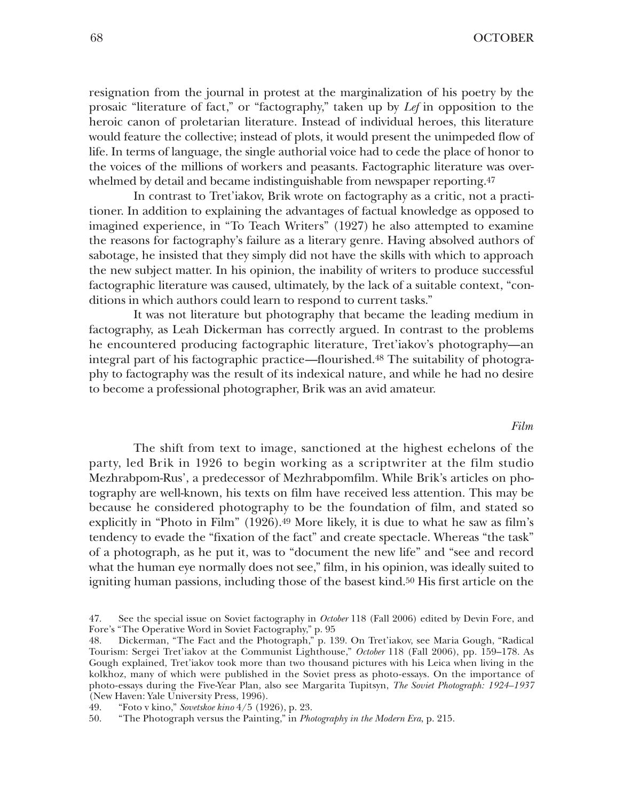resignation from the journal in protest at the marginalization of his poetry by the prosaic "literature of fact," or "factography," taken up by *Lef* in opposition to the heroic canon of proletarian literature. Instead of individual heroes, this literature would feature the collective; instead of plots, it would present the unimpeded flow of life. In terms of language, the single authorial voice had to cede the place of honor to the voices of the millions of workers and peasants. Factographic literature was overwhelmed by detail and became indistinguishable from newspaper reporting.<sup>47</sup>

In contrast to Tret'iakov, Brik wrote on factography as a critic, not a practitioner. In addition to explaining the advantages of factual knowledge as opposed to imagined experience, in "To Teach Writers" (1927) he also attempted to examine the reasons for factography's failure as a literary genre. Having absolved authors of sabotage, he insisted that they simply did not have the skills with which to approach the new subject matter. In his opinion, the inability of writers to produce successful factographic literature was caused, ultimately, by the lack of a suitable context, "conditions in which authors could learn to respond to current tasks."

It was not literature but photography that became the leading medium in factography, as Leah Dickerman has correctly argued. In contrast to the problems he encountered producing factographic literature, Tret'iakov's photography—an integral part of his factographic practice—flourished.48 The suitability of photography to factography was the result of its indexical nature, and while he had no desire to become a professional photographer, Brik was an avid amateur.

#### *Film*

The shift from text to image, sanctioned at the highest echelons of the party, led Brik in 1926 to begin working as a scriptwriter at the film studio Mezhrabpom-Rus', a predecessor of Mezhrabpomfilm. While Brik's articles on photography are well-known, his texts on film have received less attention. This may be because he considered photography to be the foundation of film, and stated so explicitly in "Photo in Film" (1926).<sup>49</sup> More likely, it is due to what he saw as film's tendency to evade the "fixation of the fact" and create spectacle. Whereas "the task" of a photograph, as he put it, was to "document the new life" and "see and record what the human eye normally does not see," film, in his opinion, was ideally suited to igniting human passions, including those of the basest kind.<sup>50</sup> His first article on the

<sup>47.</sup> See the special issue on Soviet factography in *October* 118 (Fall 2006) edited by Devin Fore, and Fore's "The Operative Word in Soviet Factography," p. 95

<sup>48.</sup> Dickerman, "The Fact and the Photograph," p. 139. On Tret'iakov, see Maria Gough, "Radical Tourism: Sergei Tret'iakov at the Communist Lighthouse," *October* 118 (Fall 2006), pp. 159–178. As Gough explained, Tret'iakov took more than two thousand pictures with his Leica when living in the kolkhoz, many of which were published in the Soviet press as photo-essays. On the importance of photo-essays during the Five-Year Plan, also see Margarita Tupitsyn, *The Soviet Photograph: 1924–1937* (New Haven: Yale University Press, 1996).

<sup>49.</sup> "Foto v kino," *Sovetskoe kino* 4/5 (1926), p. 23.

<sup>50.</sup> "The Photograph versus the Painting," in *Photography in the Modern Era*, p. 215.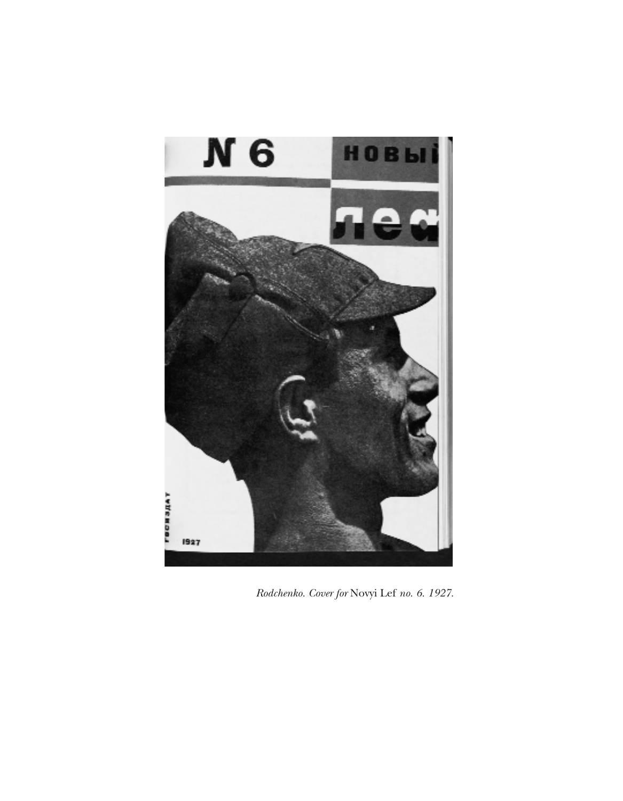

*Rodchenko. Cover for* Novyi Lef *no. 6. 1927.*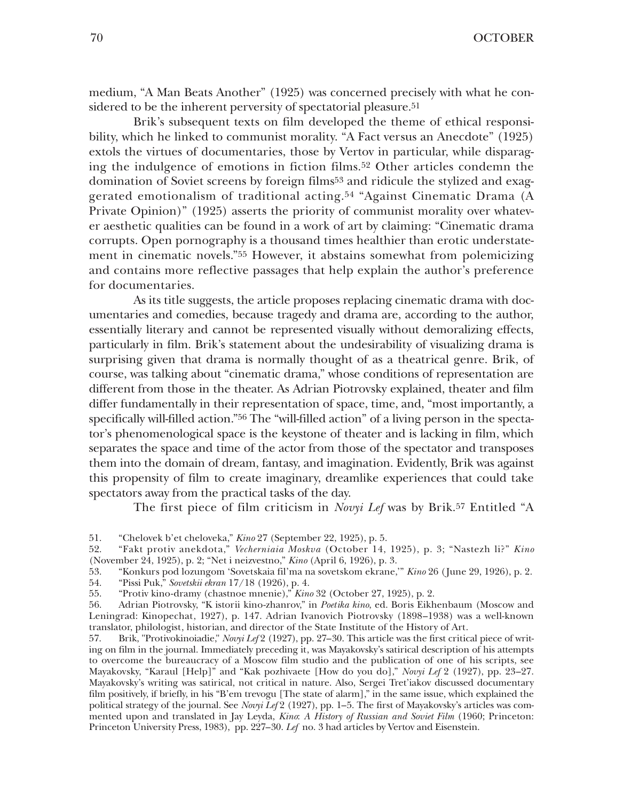medium, "A Man Beats Another" (1925) was concerned precisely with what he considered to be the inherent perversity of spectatorial pleasure.<sup>51</sup>

Brik's subsequent texts on film developed the theme of ethical responsibility, which he linked to communist morality. "A Fact versus an Anecdote" (1925) extols the virtues of documentaries, those by Vertov in particular, while disparaging the indulgence of emotions in fiction films.52 Other articles condemn the domination of Soviet screens by foreign films53 and ridicule the stylized and exaggerated emotionalism of traditional acting.54 "Against Cinematic Drama (A Private Opinion)" (1925) asserts the priority of communist morality over whatever aesthetic qualities can be found in a work of art by claiming: "Cinematic drama corrupts. Open pornography is a thousand times healthier than erotic understatement in cinematic novels."55 However, it abstains somewhat from polemicizing and contains more reflective passages that help explain the author's preference for documentaries.

As its title suggests, the article proposes replacing cinematic drama with documentaries and comedies, because tragedy and drama are, according to the author, essentially literary and cannot be represented visually without demoralizing effects, particularly in film. Brik's statement about the undesirability of visualizing drama is surprising given that drama is normally thought of as a theatrical genre. Brik, of course, was talking about "cinematic drama," whose conditions of representation are different from those in the theater. As Adrian Piotrovsky explained, theater and film differ fundamentally in their representation of space, time, and, "most importantly, a specifically will-filled action."56 The "will-filled action" of a living person in the spectator's phenomenological space is the keystone of theater and is lacking in film, which separates the space and time of the actor from those of the spectator and transposes them into the domain of dream, fantasy, and imagination. Evidently, Brik was against this propensity of film to create imaginary, dreamlike experiences that could take spectators away from the practical tasks of the day.

The first piece of film criticism in *Novyi Lef* was by Brik.57 Entitled "A

52. "Fakt protiv anekdota," *Vecherniaia Moskva* (October 14, 1925), p. 3; "Nastezh li?" *Kino* (November 24, 1925), p. 2; "Net i neizvestno," *Kino* (April 6, 1926), p. 3.

53. "Konkurs pod lozungom 'Sovetskaia fil'ma na sovetskom ekrane,'" *Kino* 26 (June 29, 1926), p. 2. 54. "Pissi Puk," *Sovetskii ekran* 17/18 (1926), p. 4.

55. "Protiv kino-dramy (chastnoe mnenie)," *Kino* 32 (October 27, 1925), p. 2.

56. Adrian Piotrovsky, "K istorii kino-zhanrov," in *Poetika kino*, ed. Boris Eikhenbaum (Moscow and Leningrad: Kinopechat, 1927), p. 147. Adrian Ivanovich Piotrovsky (1898–1938) was a well-known translator, philologist, historian, and director of the State Institute of the History of Art.

57. Brik, "Protivokinoiadie," *Novyi Lef* 2 (1927), pp. 27–30. This article was the first critical piece of writing on film in the journal. Immediately preceding it, was Mayakovsky's satirical description of his attempts to overcome the bureaucracy of a Moscow film studio and the publication of one of his scripts, see Mayakovsky, "Karaul [Help]" and "Kak pozhivaete [How do you do]," *Novyi Lef* 2 (1927), pp. 23–27. Mayakovsky's writing was satirical, not critical in nature. Also, Sergei Tret'iakov discussed documentary film positively, if briefly, in his "B'em trevogu [The state of alarm]," in the same issue, which explained the political strategy of the journal. See *Novyi Lef* 2 (1927), pp. 1–5. The first of Mayakovsky's articles was commented upon and translated in Jay Leyda, *Kino*: *A History of Russian and Soviet Film* (1960; Princeton: Princeton University Press, 1983), pp. 227–30. *Lef* no. 3 had articles by Vertov and Eisenstein.

<sup>51.</sup> "Chelovek b'et cheloveka," *Kino* 27 (September 22, 1925), p. 5.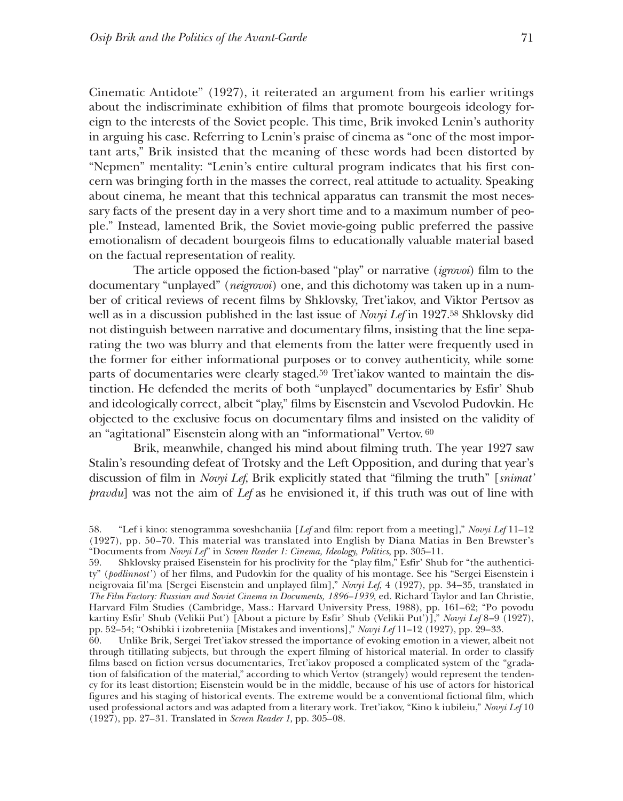Cinematic Antidote" (1927), it reiterated an argument from his earlier writings about the indiscriminate exhibition of films that promote bourgeois ideology foreign to the interests of the Soviet people. This time, Brik invoked Lenin's authority in arguing his case. Referring to Lenin's praise of cinema as "one of the most important arts," Brik insisted that the meaning of these words had been distorted by "Nepmen" mentality: "Lenin's entire cultural program indicates that his first concern was bringing forth in the masses the correct, real attitude to actuality. Speaking about cinema, he meant that this technical apparatus can transmit the most necessary facts of the present day in a very short time and to a maximum number of people." Instead, lamented Brik, the Soviet movie-going public preferred the passive emotionalism of decadent bourgeois films to educationally valuable material based on the factual representation of reality.

The article opposed the fiction-based "play" or narrative (*igrovoi*) film to the documentary "unplayed" (*neigrovoi*) one, and this dichotomy was taken up in a number of critical reviews of recent films by Shklovsky, Tret'iakov, and Viktor Pertsov as well as in a discussion published in the last issue of *Novyi Lef* in 1927.58 Shklovsky did not distinguish between narrative and documentary films, insisting that the line separating the two was blurry and that elements from the latter were frequently used in the former for either informational purposes or to convey authenticity, while some parts of documentaries were clearly staged.59 Tret'iakov wanted to maintain the distinction. He defended the merits of both "unplayed" documentaries by Esfir' Shub and ideologically correct, albeit "play," films by Eisenstein and Vsevolod Pudovkin. He objected to the exclusive focus on documentary films and insisted on the validity of an "agitational" Eisenstein along with an "informational" Vertov. <sup>60</sup>

Brik, meanwhile, changed his mind about filming truth. The year 1927 saw Stalin's resounding defeat of Trotsky and the Left Opposition, and during that year's discussion of film in *Novyi Lef*, Brik explicitly stated that "filming the truth" [*snimat' pravdu*] was not the aim of *Lef* as he envisioned it, if this truth was out of line with

60. Unlike Brik, Sergei Tret'iakov stressed the importance of evoking emotion in a viewer, albeit not through titillating subjects, but through the expert filming of historical material. In order to classify films based on fiction versus documentaries, Tret'iakov proposed a complicated system of the "gradation of falsification of the material," according to which Vertov (strangely) would represent the tendency for its least distortion; Eisenstein would be in the middle, because of his use of actors for historical figures and his staging of historical events. The extreme would be a conventional fictional film, which used professional actors and was adapted from a literary work. Tret'iakov, "Kino k iubileiu," *Novyi Lef* 10 (1927), pp. 27–31. Translated in *Screen Reader 1*, pp. 305–08.

<sup>58.</sup> "Lef i kino: stenogramma soveshchaniia [*Lef* and film: report from a meeting]," *Novyi Lef* 11–12 (1927), pp. 50–70. This material was translated into English by Diana Matias in Ben Brewster's "Documents from *Novyi Lef*" in *Screen Reader 1: Cinema, Ideology, Politics*, pp. 305–11.

<sup>59.</sup> Shklovsky praised Eisenstein for his proclivity for the "play film," Esfir' Shub for "the authenticity" (*podlinnost'* ) of her films, and Pudovkin for the quality of his montage. See his "Sergei Eisenstein i neigrovaia fil'ma [Sergei Eisenstein and unplayed film]," *Novyi Lef*, 4 (1927), pp. 34–35, translated in *The Film Factory: Russian and Soviet Cinema in Documents, 1896–1939,* ed. Richard Taylor and Ian Christie, Harvard Film Studies (Cambridge, Mass.: Harvard University Press, 1988), pp. 161–62; "Po povodu kartiny Esfir' Shub (Velikii Put') [About a picture by Esfir' Shub (Velikii Put')]," *Novyi Lef* 8–9 (1927), pp. 52–54; "Oshibki i izobreteniia [Mistakes and inventions]," *Novyi Lef* 11–12 (1927), pp. 29–33.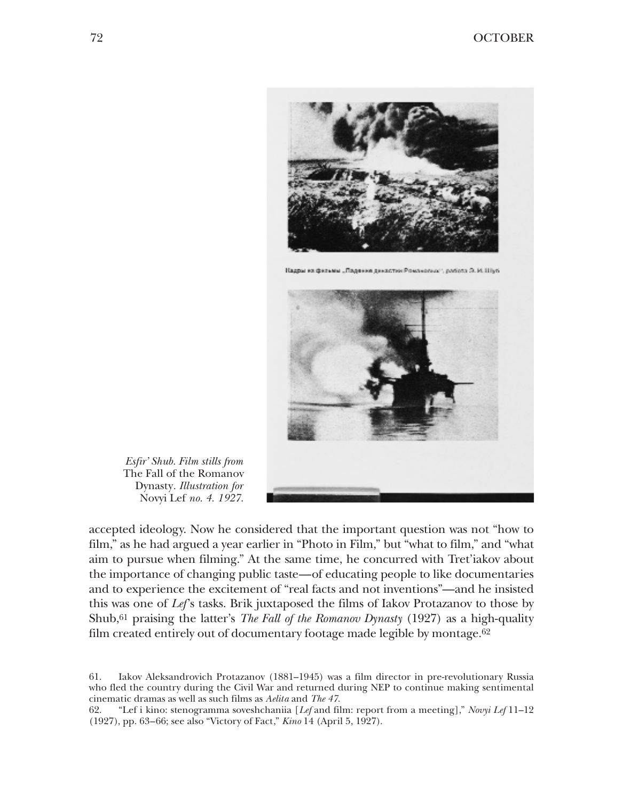

*Esfir' Shub. Film stills from* The Fall of the Romanov Dynasty*. Illustration for* Novyi Lef *no. 4. 1927.*

accepted ideology. Now he considered that the important question was not "how to film," as he had argued a year earlier in "Photo in Film," but "what to film," and "what aim to pursue when filming." At the same time, he concurred with Tret'iakov about the importance of changing public taste—of educating people to like documentaries and to experience the excitement of "real facts and not inventions"—and he insisted this was one of *Lef*'s tasks. Brik juxtaposed the films of Iakov Protazanov to those by Shub,61 praising the latter's *The Fall of the Romanov Dynasty* (1927) as a high-quality film created entirely out of documentary footage made legible by montage.62

61. Iakov Aleksandrovich Protazanov (1881–1945) was a film director in pre-revolutionary Russia who fled the country during the Civil War and returned during NEP to continue making sentimental cinematic dramas as well as such films as *Aelita* and *The 47*.

62. "Lef i kino: stenogramma soveshchaniia [*Lef* and film: report from a meeting]," *Novyi Lef* 11–12 (1927), pp. 63–66; see also "Victory of Fact," *Kino* 14 (April 5, 1927).